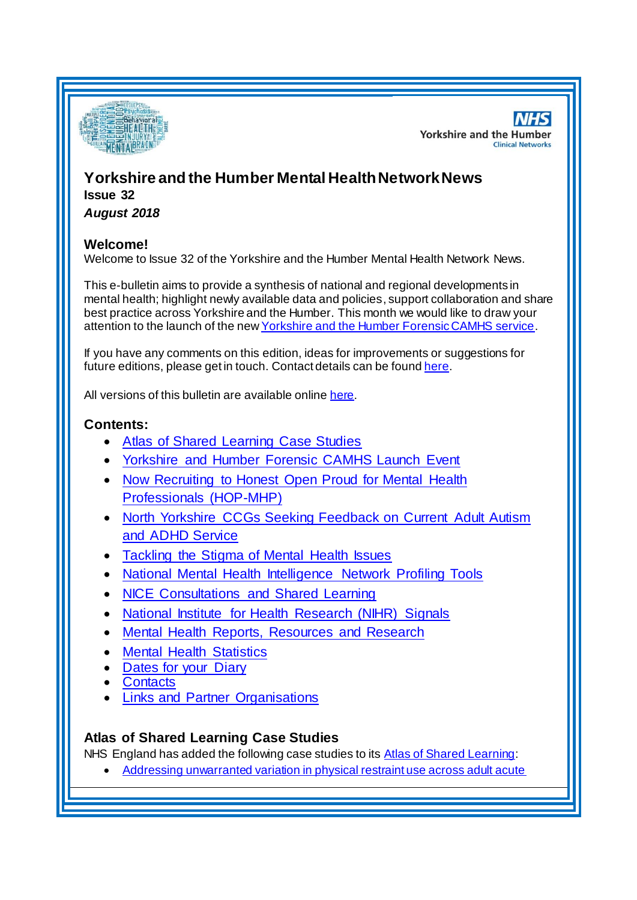

**NHS Yorkshire and the Humber Clinical Networks** 

# **Yorkshire and the Humber Mental HealthNetwork News Issue 32**

*August 2018*

## **Welcome!**

Welcome to Issue 32 of the Yorkshire and the Humber Mental Health Network News.

This e-bulletin aims to provide a synthesis of national and regional developments in mental health; highlight newly available data and policies, support collaboration and share best practice across Yorkshire and the Humber. This month we would like to draw your attention to the launch of the ne[w Yorkshire and the Humber Forensic CAMHS service.](#page-1-0)

If you have any comments on this edition, ideas for improvements or suggestions for future editions, please get in touch. Contact details can be found [here](#page-6-0).

All versions of this bulletin are available onlin[e here](http://www.yhscn.nhs.uk/mental-health-clinic/mental-health-network/MH-documents-and-links.php).

# **Contents:**

- [Atlas of Shared Learning Case Studies](#page-0-0)
- [Yorkshire and Humber Forensic CAMHS Launch Event](#page-1-0)
- Now Recruiting to Honest Open Proud for Mental Health [Professionals \(HOP-MHP\)](#page-1-1)
- [North Yorkshire CCGs Seeking Feedback on Current Adult Autism](#page-1-2)  [and ADHD Service](#page-1-2)
- [Tackling the Stigma of Mental Health Issues](#page-2-0)
- [National Mental Health Intelligence Network Profiling Tools](#page-0-0)
- [NICE Consultations and Shared Learning](#page-2-1)
- [National Institute for Health Research \(NIHR\) Signals](#page-2-2)
- [Mental Health Reports, Resources and Research](#page-0-1)
- [Mental Health Statistics](#page-4-0)
- [Dates for your Diary](#page-4-1)
- **[Contacts](#page-6-0)**
- [Links and Partner Organisations](#page-6-1)

# <span id="page-0-1"></span><span id="page-0-0"></span>**Atlas of Shared Learning Case Studies**

NHS England has added the following case studies to it[s Atlas of Shared Learning](https://www.england.nhs.uk/leadingchange/atlas-of-shared-learning/):

[Addressing unwarranted variation in physical restraint use across adult acute](https://www.england.nhs.uk/atlas_case_study/addressing-unwarranted-variation-in-physical-restraint-use-across-adult-acute-mental-health-inpatient-wards/)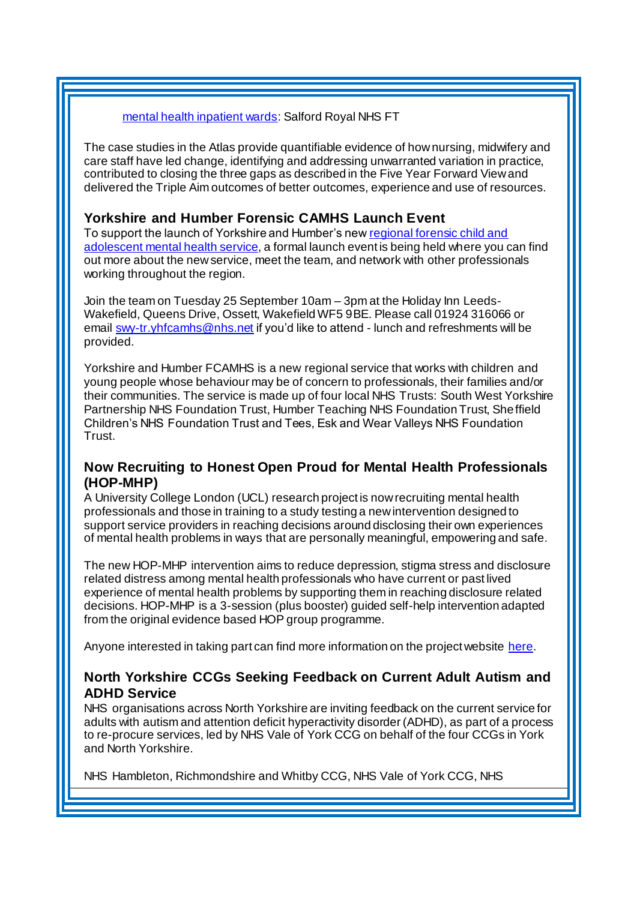#### [mental health inpatient wards:](https://www.england.nhs.uk/atlas_case_study/addressing-unwarranted-variation-in-physical-restraint-use-across-adult-acute-mental-health-inpatient-wards/) Salford Royal NHS FT

The case studies in the Atlas provide quantifiable evidence of how nursing, midwifery and care staff have led change, identifying and addressing unwarranted variation in practice, contributed to closing the three gaps as described in the Five Year Forward View and delivered the Triple Aim outcomes of better outcomes, experience and use of resources.

### <span id="page-1-0"></span>**Yorkshire and Humber Forensic CAMHS Launch Event**

To support the launch of Yorkshire and Humber's ne[w regional forensic child and](https://www.yorkshireandhumberfcamhs.co.uk/)  [adolescent mental health service](https://www.yorkshireandhumberfcamhs.co.uk/), a formal launch event is being held where you can find out more about the new service, meet the team, and network with other professionals working throughout the region.

Join the team on Tuesday 25 September 10am – 3pm at the Holiday Inn Leeds-Wakefield, Queens Drive, Ossett, Wakefield WF5 9BE. Please call 01924 316066 or email [swy-tr.yhfcamhs@nhs.net](mailto:swy-tr.yhfcamhs@nhs.net) if you'd like to attend - lunch and refreshments will be provided.

Yorkshire and Humber FCAMHS is a new regional service that works with children and young people whose behaviour may be of concern to professionals, their families and/or their communities. The service is made up of four local NHS Trusts: South West Yorkshire Partnership NHS Foundation Trust, Humber Teaching NHS Foundation Trust, Sheffield Children's NHS Foundation Trust and Tees, Esk and Wear Valleys NHS Foundation Trust.

### <span id="page-1-1"></span>**Now Recruiting to Honest Open Proud for Mental Health Professionals (HOP-MHP)**

A University College London (UCL) research project is now recruiting mental health professionals and those in training to a study testing a new intervention designed to support service providers in reaching decisions around disclosing their own experiences of mental health problems in ways that are personally meaningful, empowering and safe.

The new HOP-MHP intervention aims to reduce depression, stigma stress and disclosure related distress among mental health professionals who have current or past lived experience of mental health problems by supporting them in reaching disclosure related decisions. HOP-MHP is a 3-session (plus booster) guided self-help intervention adapted from the original evidence based HOP group programme.

Anyone interested in taking part can find more information on the project website [here](https://www.ucl.ac.uk/pals/hop-mhp-project-0).

## <span id="page-1-2"></span>**North Yorkshire CCGs Seeking Feedback on Current Adult Autism and ADHD Service**

NHS organisations across North Yorkshire are inviting feedback on the current service for adults with autism and attention deficit hyperactivity disorder (ADHD), as part of a process to re-procure services, led by NHS Vale of York CCG on behalf of the four CCGs in York and North Yorkshire.

NHS Hambleton, Richmondshire and Whitby CCG, NHS Vale of York CCG, NHS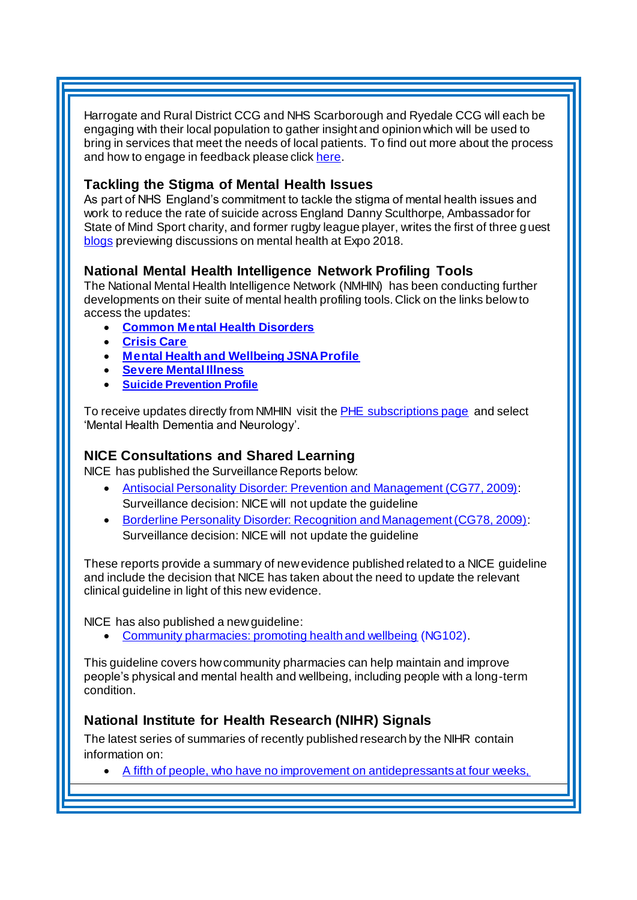Harrogate and Rural District CCG and NHS Scarborough and Ryedale CCG will each be engaging with their local population to gather insight and opinion which will be used to bring in services that meet the needs of local patients. To find out more about the process and how to engage in feedback please clic[k here.](https://www.hambletonrichmondshireandwhitbyccg.nhs.uk/news/-/blogs/local-nhs-asks-for-views-on-current-adult-autism-and-adhd-service?_33_redirect=https%3A%2F%2Fwww.hambletonrichmondshireandwhitbyccg.nhs.uk%2Fnews%3Fp_p_id%3D33%26p_p_lifecycle%3D0%26p_p_state%3Dnormal%26p_p_mode%3Dview%26p_p_col_id%3Dcolumn-1%26p_p_col_pos%3D1%26p_p_col_count%3D2)

## <span id="page-2-0"></span>**Tackling the Stigma of Mental Health Issues**

As part of NHS England's commitment to tackle the stigma of mental health issues and work to reduce the rate of suicide across England Danny Sculthorpe, Ambassador for State of Mind Sport charity, and former rugby league player, writes the first of three guest [blogs](https://www.england.nhs.uk/blog/tackling-the-stigma-of-mental-health-issues/) previewing discussions on mental health at Expo 2018.

# **National Mental Health Intelligence Network Profiling Tools**

The National Mental Health Intelligence Network (NMHIN) has been conducting further developments on their suite of mental health profiling tools. Click on the links below to access the updates:

- **[Common Mental Health Disorders](http://links.govdelivery.com/track?type=click&enid=ZWFzPTEmbXNpZD0mYXVpZD0mbWFpbGluZ2lkPTIwMTcxMjA1LjgxOTE2MDgxJm1lc3NhZ2VpZD1NREItUFJELUJVTC0yMDE3MTIwNS44MTkxNjA4MSZkYXRhYmFzZWlkPTEwMDEmc2VyaWFsPTE2OTcwMTE4JmVtYWlsaWQ9c2FyYWguYm91bEBuaHMubmV0JnVzZXJpZD1zYXJhaC5ib3VsQG5ocy5uZXQmdGFyZ2V0aWQ9JmZsPSZleHRyYT1NdWx0aXZhcmlhdGVJZD0mJiY=&&&104&&&https://fingertips.phe.org.uk/profile-group/mental-health/profile/common-mental-disorders)**
- **[Crisis Care](http://links.govdelivery.com/track?type=click&enid=ZWFzPTEmbXNpZD0mYXVpZD0mbWFpbGluZ2lkPTIwMTcxMjA1LjgxOTE2MDgxJm1lc3NhZ2VpZD1NREItUFJELUJVTC0yMDE3MTIwNS44MTkxNjA4MSZkYXRhYmFzZWlkPTEwMDEmc2VyaWFsPTE2OTcwMTE4JmVtYWlsaWQ9c2FyYWguYm91bEBuaHMubmV0JnVzZXJpZD1zYXJhaC5ib3VsQG5ocy5uZXQmdGFyZ2V0aWQ9JmZsPSZleHRyYT1NdWx0aXZhcmlhdGVJZD0mJiY=&&&105&&&https://fingertips.phe.org.uk/profile-group/mental-health/profile/crisis-care)**
- **[Mental Health and Wellbeing JSNA Profile](http://links.govdelivery.com/track?type=click&enid=ZWFzPTEmbXNpZD0mYXVpZD0mbWFpbGluZ2lkPTIwMTcxMjA1LjgxOTE2MDgxJm1lc3NhZ2VpZD1NREItUFJELUJVTC0yMDE3MTIwNS44MTkxNjA4MSZkYXRhYmFzZWlkPTEwMDEmc2VyaWFsPTE2OTcwMTE4JmVtYWlsaWQ9c2FyYWguYm91bEBuaHMubmV0JnVzZXJpZD1zYXJhaC5ib3VsQG5ocy5uZXQmdGFyZ2V0aWQ9JmZsPSZleHRyYT1NdWx0aXZhcmlhdGVJZD0mJiY=&&&106&&&https://fingertips.phe.org.uk/profile-group/mental-health/profile/mh-jsna)**
- **[Severe Mental Illness](http://links.govdelivery.com/track?type=click&enid=ZWFzPTEmbXNpZD0mYXVpZD0mbWFpbGluZ2lkPTIwMTcxMjA1LjgxOTE2MDgxJm1lc3NhZ2VpZD1NREItUFJELUJVTC0yMDE3MTIwNS44MTkxNjA4MSZkYXRhYmFzZWlkPTEwMDEmc2VyaWFsPTE2OTcwMTE4JmVtYWlsaWQ9c2FyYWguYm91bEBuaHMubmV0JnVzZXJpZD1zYXJhaC5ib3VsQG5ocy5uZXQmdGFyZ2V0aWQ9JmZsPSZleHRyYT1NdWx0aXZhcmlhdGVJZD0mJiY=&&&108&&&https://fingertips.phe.org.uk/profile-group/mental-health/profile/severe-mental-illness)**
- **[Suicide Prevention Profile](http://links.govdelivery.com/track?type=click&enid=ZWFzPTEmbXNpZD0mYXVpZD0mbWFpbGluZ2lkPTIwMTgwNjA1LjkwNzEwNzExJm1lc3NhZ2VpZD1NREItUFJELUJVTC0yMDE4MDYwNS45MDcxMDcxMSZkYXRhYmFzZWlkPTEwMDEmc2VyaWFsPTE3MDEzODU4JmVtYWlsaWQ9c2FyYWguYm91bEBuaHMubmV0JnVzZXJpZD1zYXJhaC5ib3VsQG5ocy5uZXQmdGFyZ2V0aWQ9JmZsPSZleHRyYT1NdWx0aXZhcmlhdGVJZD0mJiY=&&&104&&&https://fingertips.phe.org.uk/profile-group/mental-health/profile/suicide)**

To receive updates directly from NMHIN visit the [PHE subscriptions page](http://links.govdelivery.com/track?type=click&enid=ZWFzPTEmbXNpZD0mYXVpZD0mbWFpbGluZ2lkPTIwMTgwMjA3Ljg0OTY1MzgxJm1lc3NhZ2VpZD1NREItUFJELUJVTC0yMDE4MDIwNy44NDk2NTM4MSZkYXRhYmFzZWlkPTEwMDEmc2VyaWFsPTE2OTgzNDk5JmVtYWlsaWQ9c2FyYWguYm91bEBuaHMubmV0JnVzZXJpZD1zYXJhaC5ib3VsQG5ocy5uZXQmdGFyZ2V0aWQ9JmZsPSZleHRyYT1NdWx0aXZhcmlhdGVJZD0mJiY=&&&107&&&https://public.govdelivery.com/accounts/UKHPA/subscribers/new?preferences=true) and select 'Mental Health Dementia and Neurology'.

# <span id="page-2-1"></span>**NICE Consultations and Shared Learning**

NICE has published the Surveillance Reports below:

- [Antisocial Personality Disorder: Prevention and Management \(CG77, 2009\)](https://www.nice.org.uk/guidance/cg77/resources/2018-surveillance-of-personality-disorders-nice-guidelines-cg77-and-cg78-4906490080/chapter/Surveillance-decision?tab=evidence&utm_source=Surveillance+report+alerts&utm_campaign=e2611035e6-EMAIL_CAMPAIGN_2018_07_17_01_14&utm_medium=email&utm_term=0_e232b91fb2-e2611035e6-169540553): Surveillance decision: NICE will not update the guideline
- [Borderline Personality Disorder: Recognition and Management \(CG78, 2009\)](https://www.nice.org.uk/guidance/cg78/resources/2018-surveillance-of-personality-disorders-nice-guidelines-cg77-and-cg78-4906490080/chapter/Surveillance-decision?tab=evidence&utm_source=Surveillance+report+alerts&utm_campaign=e2611035e6-EMAIL_CAMPAIGN_2018_07_17_01_14&utm_medium=email&utm_term=0_e232b91fb2-e2611035e6-169540553): Surveillance decision: NICE will not update the guideline

These reports provide a summary of new evidence published related to a NICE guideline and include the decision that NICE has taken about the need to update the relevant clinical guideline in light of this new evidence.

NICE has also published a new guideline:

[Community pharmacies: promoting health and wellbeing](https://www.nice.org.uk/guidance/ng102) (NG102).

This guideline covers how community pharmacies can help maintain and improve people's physical and mental health and wellbeing, including people with a long-term condition.

# <span id="page-2-2"></span>**National Institute for Health Research (NIHR) Signals**

The latest series of summaries of recently published research by the NIHR contain information on:

[A fifth of people, who have no improvement on antidepressants at four weeks,](https://discover.dc.nihr.ac.uk/content/signal-000632/a-fifth-of-people-who-have-no-improvement-on-antidepressants-at-4-weeks-respond-if-given-more-time)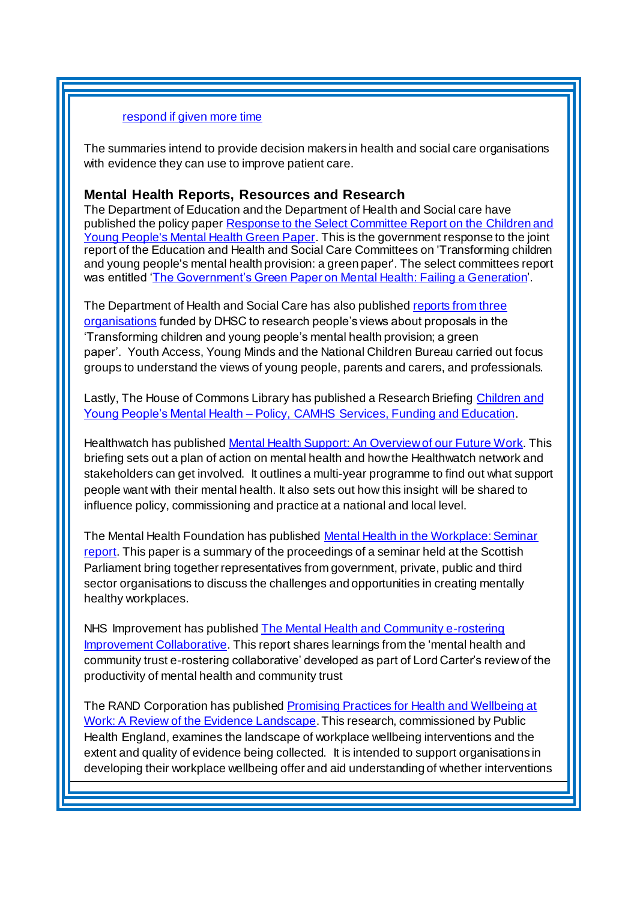#### [respond if given more time](https://discover.dc.nihr.ac.uk/content/signal-000632/a-fifth-of-people-who-have-no-improvement-on-antidepressants-at-4-weeks-respond-if-given-more-time)

The summaries intend to provide decision makers in health and social care organisations with evidence they can use to improve patient care.

### **Mental Health Reports, Resources and Research**

The Department of Education and the Department of Health and Social care have published the policy pape[r Response to the Select Committee Report on the](https://www.gov.uk/government/publications/response-to-the-select-committee-report-on-the-children-and-young-peoples-mental-health-green-paper) Children and [Young People's Mental Health Green Paper](https://www.gov.uk/government/publications/response-to-the-select-committee-report-on-the-children-and-young-peoples-mental-health-green-paper). This is the government response to the joint report of the Education and Health and Social Care Committees on 'Transforming children and young people's mental health provision: a green paper'. The select committees report was entitled ['The Government's Green Paper on Mental Health: Failing a Generation](https://www.parliament.uk/business/committees/committees-a-z/commons-select/health-and-social-care-committee/news/green-paper-on-mental-health-report-published-17-19/)'.

The Department of Health and Social Care has also publishe[d reports from three](https://www.gov.uk/government/publications/children-and-young-peoples-mental-health-focus-group-research)  [organisations](https://www.gov.uk/government/publications/children-and-young-peoples-mental-health-focus-group-research) funded by DHSC to research people's views about proposals in the 'Transforming children and young people's mental health provision; a green paper'. Youth Access, Young Minds and the National Children Bureau carried out focus groups to understand the views of young people, parents and carers, and professionals.

Lastly, The House of Commons Library has published a Research Briefin[g Children and](https://researchbriefings.parliament.uk/ResearchBriefing/Summary/CBP-7196)  Young People's Mental Health – [Policy, CAMHS Services, Funding and Education](https://researchbriefings.parliament.uk/ResearchBriefing/Summary/CBP-7196).

Healthwatch has published [Mental Health Support: An Overview of our Future Work](https://www.healthwatch.co.uk/report/2018-08-02/mental-health-support-overview-our-future-work). This briefing sets out a plan of action on mental health and how the Healthwatch network and stakeholders can get involved. It outlines a multi-year programme to find out what support people want with their mental health. It also sets out how this insight will be shared to influence policy, commissioning and practice at a national and local level.

The Mental Health Foundation has publishe[d Mental Health in the Workplace: Seminar](https://www.mentalhealth.org.uk/publications/mental-health-workplace-seminar-report)  [report.](https://www.mentalhealth.org.uk/publications/mental-health-workplace-seminar-report) This paper is a summary of the proceedings of a seminar held at the Scottish Parliament bring together representatives from government, private, public and third sector organisations to discuss the challenges and opportunities in creating mentally healthy workplaces.

NHS Improvement has published The [Mental Health and Community e-rostering](https://improvement.nhs.uk/resources/mental-health-and-community-e-rostering-improvement-collaborative-report/)  [Improvement Collaborative](https://improvement.nhs.uk/resources/mental-health-and-community-e-rostering-improvement-collaborative-report/). This report shares learnings from the 'mental health and community trust e-rostering collaborative' developed as part of Lord Carter's review of the productivity of mental health and community trust

The RAND Corporation has published **Promising Practices for Health and Wellbeing at** [Work: A Review of the Evidence Landscape](https://www.rand.org/pubs/research_reports/RR2409.html). This research, commissioned by Public Health England, examines the landscape of workplace wellbeing interventions and the extent and quality of evidence being collected. It is intended to support organisations in developing their workplace wellbeing offer and aid understanding of whether interventions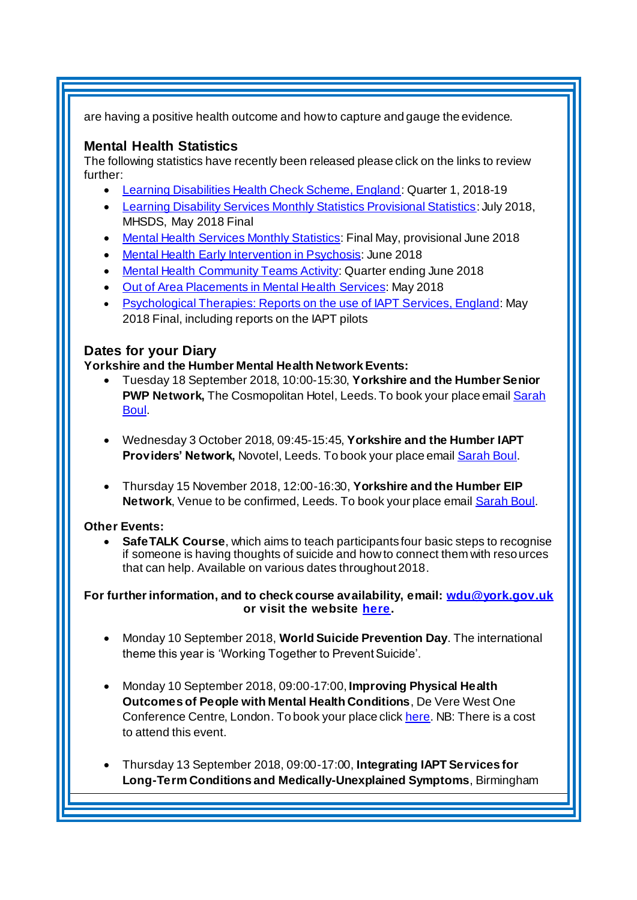are having a positive health outcome and how to capture and gauge the evidence.

### <span id="page-4-0"></span>**Mental Health Statistics**

The following statistics have recently been released please click on the links to review further:

- <span id="page-4-1"></span>• [Learning Disabilities Health Check Scheme, England](https://digital.nhs.uk/data-and-information/publications/statistical/learning-disabilities-health-check-scheme/englandq1201819/england_quarter1_201819): Quarter 1, 2018-19
- [Learning Disability Services Monthly Statistics Provisional Statistics](https://www.gov.uk/government/statistics/learning-disability-services-monthly-statistics-provisional-statistics-at-july-2018-mhsds-may-2018-final--2): July 2018, MHSDS, May 2018 Final
- [Mental Health Services Monthly Statistics](https://www.gov.uk/government/statistics/mental-health-services-monthly-statistics-final-may-provisional-june-2018): Final May, provisional June 2018
- [Mental Health Early Intervention in Psychosis](https://www.gov.uk/government/statistics/mental-health-early-intervention-in-psychosis-for-june-2018): June 2018
- [Mental Health Community Teams Activity:](https://www.gov.uk/government/statistics/mental-health-community-teams-activity-for-quarter-ending-june-2018) Quarter ending June 2018
- [Out of Area Placements in Mental Health Services:](https://www.gov.uk/government/statistics/out-of-area-placements-in-mental-health-services-may-2018) May 2018
- [Psychological Therapies: Reports on the use of IAPT Services, England](https://www.gov.uk/government/statistics/psychological-therapies-reports-on-the-use-of-iapt-services-england-may-2018-final-including-reports-on-the-iapt-pilots): May 2018 Final, including reports on the IAPT pilots

### **Dates for your Diary**

#### **Yorkshire and the Humber Mental Health Network Events:**

- Tuesday 18 September 2018, 10:00-15:30, **Yorkshire and the Humber Senior PWP Network,** The Cosmopolitan Hotel, Leeds. To book your place emai[l Sarah](mailto:sarah.boul@nhs.net?subject=Senior%20PWP%20Network)  [Boul.](mailto:sarah.boul@nhs.net?subject=Senior%20PWP%20Network)
- Wednesday 3 October 2018, 09:45-15:45, **Yorkshire and the Humber IAPT Providers' Network,** Novotel, Leeds. To book your place emai[l Sarah Boul](mailto:sarah.boul@nhs.net?subject=IAPT%20Providers%20Network).
- Thursday 15 November 2018, 12:00-16:30, **Yorkshire and the Humber EIP Network**, Venue to be confirmed, Leeds. To book your place emai[l Sarah Boul](mailto:sarah.boul@nhs.net?subject=IAPT%20Providers%20Network).

#### **Other Events:**

 **SafeTALK Course**, which aims to teach participants four basic steps to recognise if someone is having thoughts of suicide and how to connect them with resources that can help. Available on various dates throughout 2018.

**For further information, and to check course availability, email: [wdu@york.gov.uk](mailto:wdu@york.gov.uk) or visit the websit[e here](http://www.yorkworkforcedevelopment.org.uk/).**

- Monday 10 September 2018, **World Suicide Prevention Day**. The international theme this year is 'Working Together to Prevent Suicide'.
- Monday 10 September 2018, 09:00-17:00, **Improving Physical Health Outcomes of People with Mental Health Conditions**, De Vere West One Conference Centre, London. To book your place clic[k here](https://www.healthcareconferencesuk.co.uk/event/1391/book). NB: There is a cost to attend this event.
- Thursday 13 September 2018, 09:00-17:00, **Integrating IAPT Services for Long-Term Conditions and Medically-Unexplained Symptoms**, Birmingham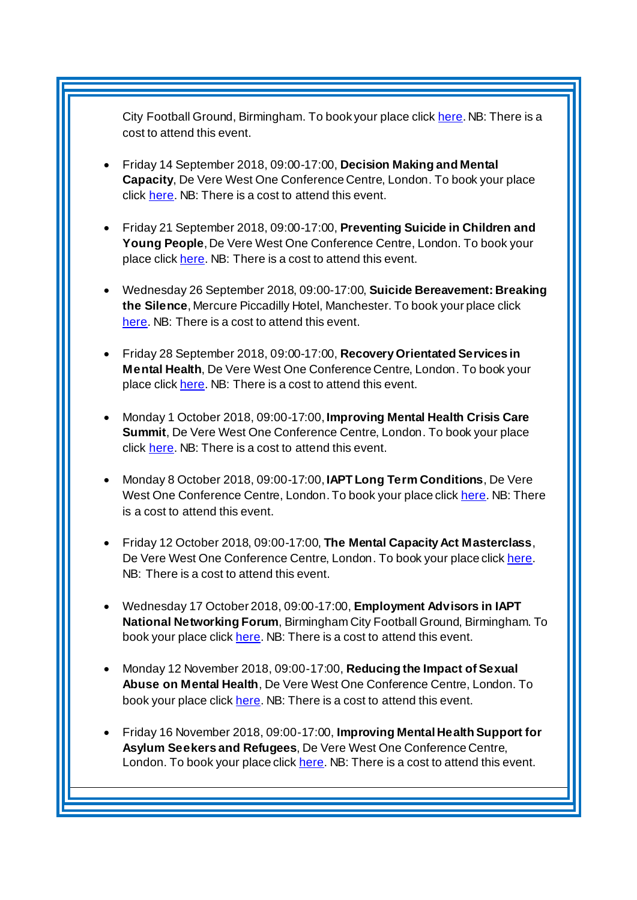City Football Ground, Birmingham. To book your place clic[k here](http://www.iapt-nnf.co.uk/Home/ViewEvent/92?utm_source=SBK%20Healthcare&utm_medium=email&utm_campaign=9574227_1864PT%205th%20email&dm_i=1SB0,5P7IR,MCTTTA,M6VN3,1). NB: There is a cost to attend this event.

- Friday 14 September 2018, 09:00-17:00, **Decision Making and Mental Capacity**, De Vere West One Conference Centre, London. To book your place click [here.](https://www.healthcareconferencesuk.co.uk/event/1360/book) NB: There is a cost to attend this event.
- Friday 21 September 2018, 09:00-17:00, **Preventing Suicide in Children and Young People**, De Vere West One Conference Centre, London. To book your place click [here.](https://www.healthcareconferencesuk.co.uk/event/1352/book) NB: There is a cost to attend this event.
- Wednesday 26 September 2018, 09:00-17:00, **Suicide Bereavement: Breaking the Silence**, Mercure Piccadilly Hotel, Manchester. To book your place click [here.](https://suicidebereavementuk.com/suicide-bereavement-conference) NB: There is a cost to attend this event.
- Friday 28 September 2018, 09:00-17:00, **Recovery Orientated Services in Mental Health**, De Vere West One Conference Centre, London. To book your place click [here.](https://www.healthcareconferencesuk.co.uk/event/1152/book) NB: There is a cost to attend this event.
- Monday 1 October 2018, 09:00-17:00, **Improving Mental Health Crisis Care Summit**, De Vere West One Conference Centre, London. To book your place click [here.](https://www.healthcareconferencesuk.co.uk/event/1171/book) NB: There is a cost to attend this event.
- Monday 8 October 2018, 09:00-17:00, **IAPT Long Term Conditions**, De Vere West One Conference Centre, London. To book your place clic[k here](https://www.healthcareconferencesuk.co.uk/event/1397/book). NB: There is a cost to attend this event.
- Friday 12 October 2018, 09:00-17:00, **The Mental Capacity Act Masterclass**, De Vere West One Conference Centre, London. To book your place clic[k here](https://www.healthcareconferencesuk.co.uk/event/1283/book). NB: There is a cost to attend this event.
- Wednesday 17 October 2018, 09:00-17:00, **Employment Advisors in IAPT National Networking Forum**, Birmingham City Football Ground, Birmingham. To book your place clic[k here.](http://www.iapt-nnf.co.uk/Home/ViewEvent/93?utm_source=SBK%20Healthcare&utm_medium=email&utm_campaign=9489940_New%20PT%20Employment&dm_i=1SB0,5NEHG,MCTTTA,LZ3VY,1) NB: There is a cost to attend this event.
- Monday 12 November 2018, 09:00-17:00, **Reducing the Impact of Sexual Abuse on Mental Health**, De Vere West One Conference Centre, London. To book your place clic[k here.](https://www.healthcareconferencesuk.co.uk/event/1235) NB: There is a cost to attend this event.
- Friday 16 November 2018, 09:00-17:00, **Improving Mental Health Support for Asylum Seekers and Refugees**, De Vere West One Conference Centre, London. To book your place clic[k here.](https://www.healthcareconferencesuk.co.uk/event/1209/book) NB: There is a cost to attend this event.